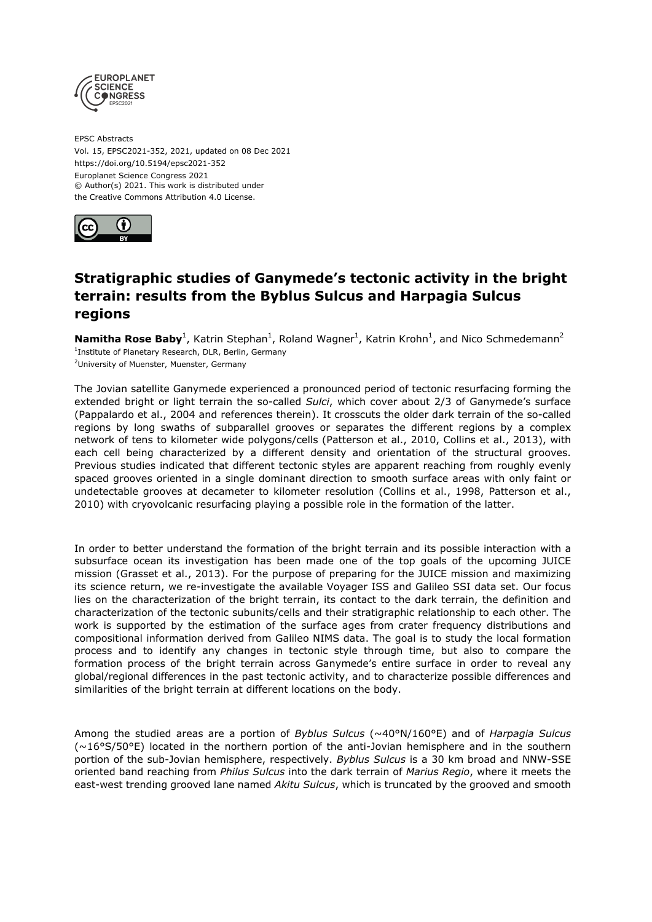

EPSC Abstracts Vol. 15, EPSC2021-352, 2021, updated on 08 Dec 2021 https://doi.org/10.5194/epsc2021-352 Europlanet Science Congress 2021 © Author(s) 2021. This work is distributed under the Creative Commons Attribution 4.0 License.



## **Stratigraphic studies of Ganymede's tectonic activity in the bright terrain: results from the Byblus Sulcus and Harpagia Sulcus regions**

**Namitha Rose Baby**<sup>1</sup>, Katrin Stephan<sup>1</sup>, Roland Wagner<sup>1</sup>, Katrin Krohn<sup>1</sup>, and Nico Schmedemann<sup>2</sup> <sup>1</sup>Institute of Planetary Research, DLR, Berlin, Germany <sup>2</sup>University of Muenster, Muenster, Germany

The Jovian satellite Ganymede experienced a pronounced period of tectonic resurfacing forming the extended bright or light terrain the so-called *Sulci*, which cover about 2/3 of Ganymede's surface (Pappalardo et al., 2004 and references therein). It crosscuts the older dark terrain of the so-called regions by long swaths of subparallel grooves or separates the different regions by a complex network of tens to kilometer wide polygons/cells (Patterson et al., 2010, Collins et al., 2013), with each cell being characterized by a different density and orientation of the structural grooves. Previous studies indicated that different tectonic styles are apparent reaching from roughly evenly spaced grooves oriented in a single dominant direction to smooth surface areas with only faint or undetectable grooves at decameter to kilometer resolution (Collins et al., 1998, Patterson et al., 2010) with cryovolcanic resurfacing playing a possible role in the formation of the latter.

In order to better understand the formation of the bright terrain and its possible interaction with a subsurface ocean its investigation has been made one of the top goals of the upcoming JUICE mission (Grasset et al., 2013). For the purpose of preparing for the JUICE mission and maximizing its science return, we re-investigate the available Voyager ISS and Galileo SSI data set. Our focus lies on the characterization of the bright terrain, its contact to the dark terrain, the definition and characterization of the tectonic subunits/cells and their stratigraphic relationship to each other. The work is supported by the estimation of the surface ages from crater frequency distributions and compositional information derived from Galileo NIMS data. The goal is to study the local formation process and to identify any changes in tectonic style through time, but also to compare the formation process of the bright terrain across Ganymede's entire surface in order to reveal any global/regional differences in the past tectonic activity, and to characterize possible differences and similarities of the bright terrain at different locations on the body.

Among the studied areas are a portion of *Byblus Sulcus* (~40°N/160°E) and of *Harpagia Sulcus*  $(\sim16^{\circ}S/50^{\circ}E)$  located in the northern portion of the anti-Jovian hemisphere and in the southern portion of the sub-Jovian hemisphere, respectively. *Byblus Sulcus* is a 30 km broad and NNW-SSE oriented band reaching from *Philus Sulcus* into the dark terrain of *Marius Regio*, where it meets the east-west trending grooved lane named *Akitu Sulcus*, which is truncated by the grooved and smooth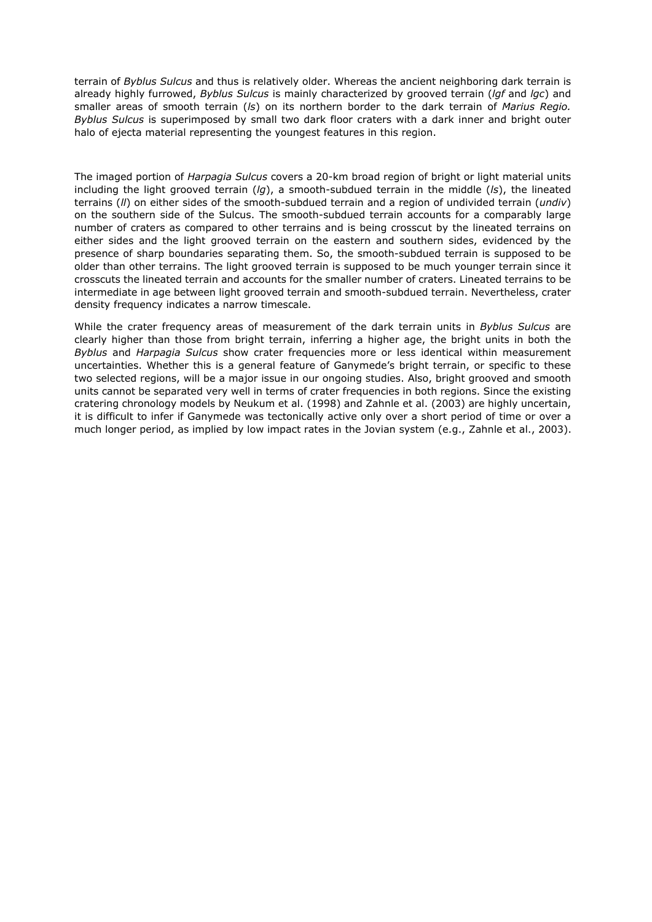terrain of *Byblus Sulcus* and thus is relatively older. Whereas the ancient neighboring dark terrain is already highly furrowed, *Byblus Sulcus* is mainly characterized by grooved terrain (*lgf* and *lgc*) and smaller areas of smooth terrain (*ls*) on its northern border to the dark terrain of *Marius Regio. Byblus Sulcus* is superimposed by small two dark floor craters with a dark inner and bright outer halo of ejecta material representing the youngest features in this region.

The imaged portion of *Harpagia Sulcus* covers a 20-km broad region of bright or light material units including the light grooved terrain (*lg*), a smooth-subdued terrain in the middle (*ls*), the lineated terrains (*ll*) on either sides of the smooth-subdued terrain and a region of undivided terrain (*undiv*) on the southern side of the Sulcus. The smooth-subdued terrain accounts for a comparably large number of craters as compared to other terrains and is being crosscut by the lineated terrains on either sides and the light grooved terrain on the eastern and southern sides, evidenced by the presence of sharp boundaries separating them. So, the smooth-subdued terrain is supposed to be older than other terrains. The light grooved terrain is supposed to be much younger terrain since it crosscuts the lineated terrain and accounts for the smaller number of craters. Lineated terrains to be intermediate in age between light grooved terrain and smooth-subdued terrain. Nevertheless, crater density frequency indicates a narrow timescale.

While the crater frequency areas of measurement of the dark terrain units in *Byblus Sulcus* are clearly higher than those from bright terrain, inferring a higher age, the bright units in both the *Byblus* and *Harpagia Sulcus* show crater frequencies more or less identical within measurement uncertainties. Whether this is a general feature of Ganymede's bright terrain, or specific to these two selected regions, will be a major issue in our ongoing studies. Also, bright grooved and smooth units cannot be separated very well in terms of crater frequencies in both regions. Since the existing cratering chronology models by Neukum et al. (1998) and Zahnle et al. (2003) are highly uncertain, it is difficult to infer if Ganymede was tectonically active only over a short period of time or over a much longer period, as implied by low impact rates in the Jovian system (e.g., Zahnle et al., 2003).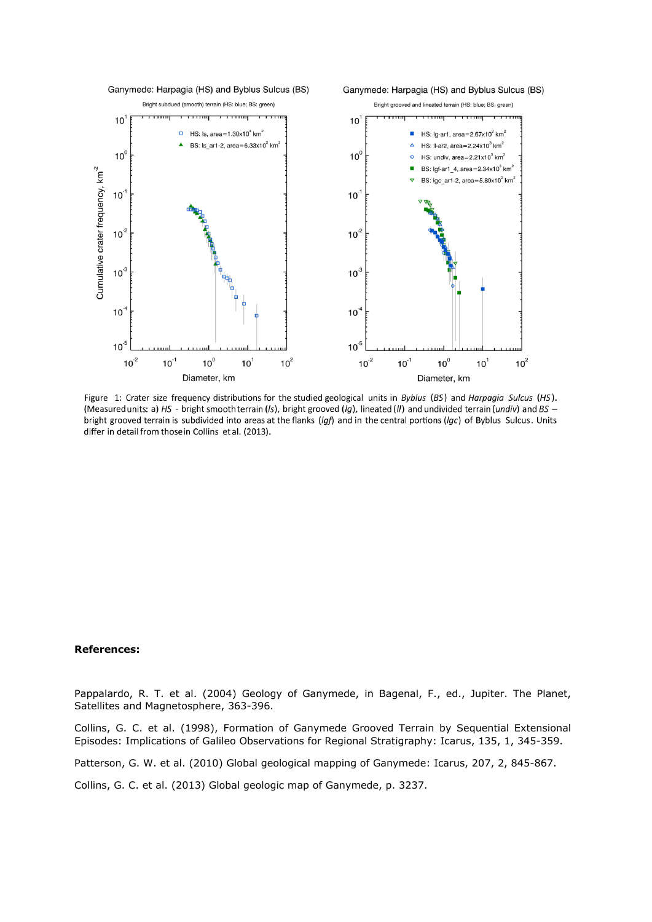

Figure 1: Crater size frequency distributions for the studied geological units in Byblus (BS) and Harpagia Sulcus (HS). (Measured units: a) HS - bright smooth terrain (Is), bright grooved (Ig), lineated (II) and undivided terrain (undiv) and BS bright grooved terrain is subdivided into areas at the flanks (Igf) and in the central portions (Igc) of Byblus Sulcus. Units differ in detail from thosein Collins et al. (2013).

## **References:**

Pappalardo, R. T. et al. (2004) Geology of Ganymede, in Bagenal, F., ed., Jupiter. The Planet, Satellites and Magnetosphere, 363-396.

Collins, G. C. et al. (1998), Formation of Ganymede Grooved Terrain by Sequential Extensional Episodes: Implications of Galileo Observations for Regional Stratigraphy: Icarus, 135, 1, 345-359.

Patterson, G. W. et al. (2010) Global geological mapping of Ganymede: Icarus, 207, 2, 845-867.

Collins, G. C. et al. (2013) Global geologic map of Ganymede, p. 3237.